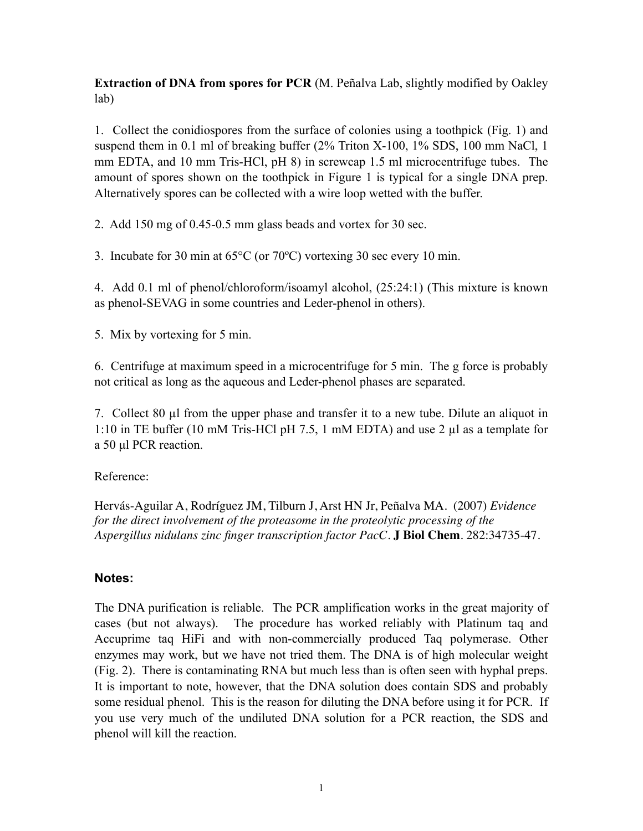**Extraction of DNA from spores for PCR** (M. Peñalva Lab, slightly modified by Oakley lab)

1. Collect the conidiospores from the surface of colonies using a toothpick (Fig. 1) and suspend them in 0.1 ml of breaking buffer (2% Triton X-100, 1% SDS, 100 mm NaCl, 1 mm EDTA, and 10 mm Tris-HCl, pH 8) in screwcap 1.5 ml microcentrifuge tubes. The amount of spores shown on the toothpick in Figure 1 is typical for a single DNA prep. Alternatively spores can be collected with a wire loop wetted with the buffer.

2. Add 150 mg of 0.45-0.5 mm glass beads and vortex for 30 sec.

3. Incubate for 30 min at 65°C (or 70ºC) vortexing 30 sec every 10 min.

4. Add 0.1 ml of phenol/chloroform/isoamyl alcohol, (25:24:1) (This mixture is known as phenol-SEVAG in some countries and Leder-phenol in others).

5. Mix by vortexing for 5 min.

6. Centrifuge at maximum speed in a microcentrifuge for 5 min. The g force is probably not critical as long as the aqueous and Leder-phenol phases are separated.

7. Collect 80 µl from the upper phase and transfer it to a new tube. Dilute an aliquot in 1:10 in TE buffer (10 mM Tris-HCl pH 7.5, 1 mM EDTA) and use 2 µl as a template for a 50 µl PCR reaction.

## Reference:

Hervás-Aguilar A, Rodríguez JM, Tilburn J, Arst HN Jr, Peñalva MA. (2007) *Evidence for the direct involvement of the proteasome in the proteolytic processing of the Aspergillus nidulans zinc finger transcription factor PacC*. **J Biol Chem**. 282:34735-47.

## **Notes:**

The DNA purification is reliable. The PCR amplification works in the great majority of cases (but not always). The procedure has worked reliably with Platinum taq and Accuprime taq HiFi and with non-commercially produced Taq polymerase. Other enzymes may work, but we have not tried them. The DNA is of high molecular weight (Fig. 2). There is contaminating RNA but much less than is often seen with hyphal preps. It is important to note, however, that the DNA solution does contain SDS and probably some residual phenol. This is the reason for diluting the DNA before using it for PCR. If you use very much of the undiluted DNA solution for a PCR reaction, the SDS and phenol will kill the reaction.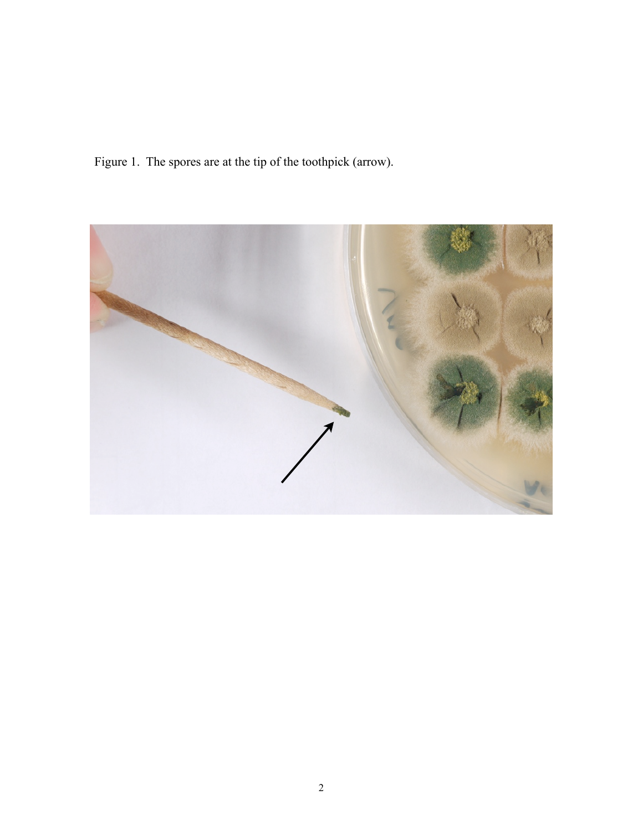Figure 1. The spores are at the tip of the toothpick (arrow).

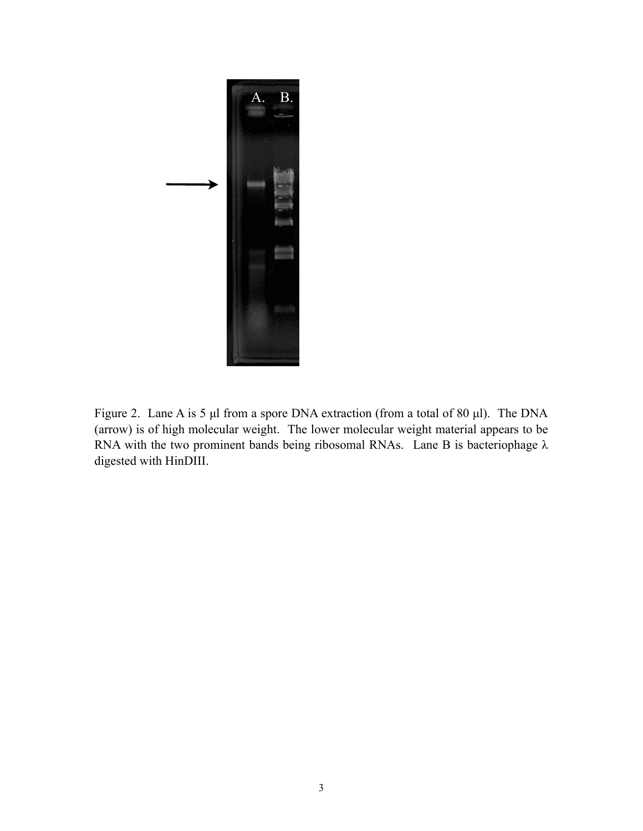

Figure 2. Lane A is 5 µl from a spore DNA extraction (from a total of 80 µl). The DNA (arrow) is of high molecular weight. The lower molecular weight material appears to be RNA with the two prominent bands being ribosomal RNAs. Lane B is bacteriophage  $\lambda$ digested with HinDIII.